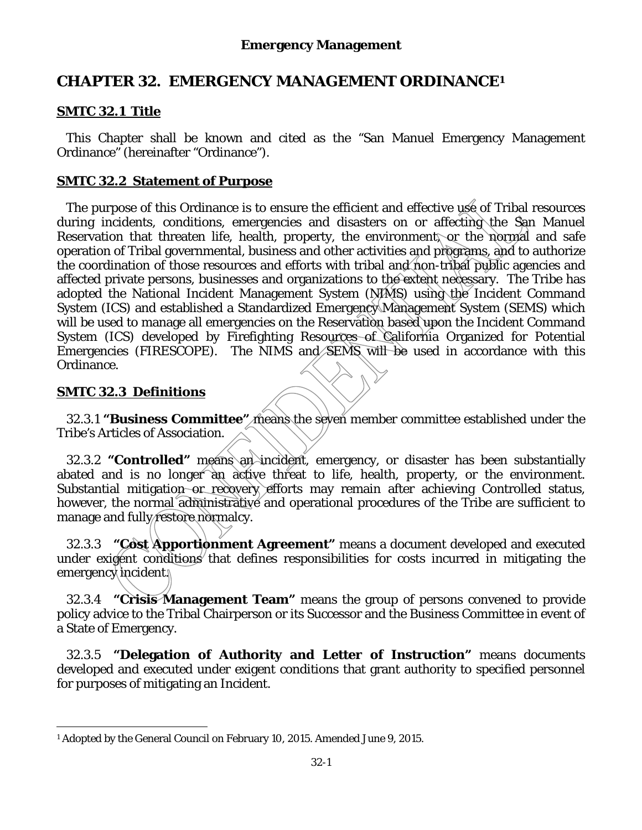# **CHAPTER 32. EMERGENCY MANAGEMENT ORDINANCE1**

## **SMTC 32.1 Title**

 This Chapter shall be known and cited as the "San Manuel Emergency Management Ordinance" (hereinafter "Ordinance").

## **SMTC 32.2 Statement of Purpose**

 The purpose of this Ordinance is to ensure the efficient and effective use of Tribal resources during incidents, conditions, emergencies and disasters on or affecting the San Manuel Reservation that threaten life, health, property, the environment, or the normal and safe operation of Tribal governmental, business and other activities and programs, and to authorize the coordination of those resources and efforts with tribal and non-tribal public agencies and affected private persons, businesses and organizations to the extent necessary. The Tribe has adopted the National Incident Management System (NIMS) using the Incident Command System (ICS) and established a Standardized Emergency Management System (SEMS) which will be used to manage all emergencies on the Reservation based upon the Incident Command System (ICS) developed by Firefighting Resources of California Organized for Potential Emergencies (FIRESCOPE). The NIMS and SEMS will be used in accordance with this Ordinance.

## **SMTC 32.3 Definitions**

32.3.1 **"Business Committee"** means the seven member committee established under the Tribe's Articles of Association.

32.3.2 **"Controlled"** means an incident, emergency, or disaster has been substantially abated and is no longer an active threat to life, health, property, or the environment. Substantial mitigation or recovery efforts may remain after achieving Controlled status, however, the normal administrative and operational procedures of the Tribe are sufficient to manage and fully restore normalcy.

32.3.3 **"Cost Apportionment Agreement"** means a document developed and executed under exigent conditions that defines responsibilities for costs incurred in mitigating the emergency incident.

32.3.4 **"Crisis Management Team"** means the group of persons convened to provide policy advice to the Tribal Chairperson or its Successor and the Business Committee in event of a State of Emergency.

32.3.5 **"Delegation of Authority and Letter of Instruction"** means documents developed and executed under exigent conditions that grant authority to specified personnel for purposes of mitigating an Incident.

<sup>-</sup><sup>1</sup> Adopted by the General Council on February 10, 2015. Amended June 9, 2015.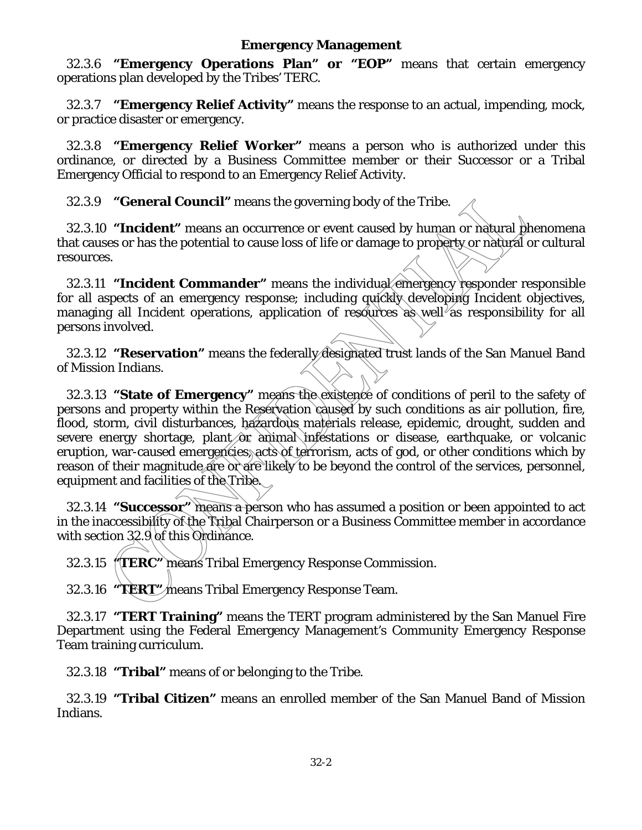32.3.6 **"Emergency Operations Plan" or "EOP"** means that certain emergency operations plan developed by the Tribes' TERC.

 32.3.7 **"Emergency Relief Activity"** means the response to an actual, impending, mock, or practice disaster or emergency.

 32.3.8 **"Emergency Relief Worker"** means a person who is authorized under this ordinance, or directed by a Business Committee member or their Successor or a Tribal Emergency Official to respond to an Emergency Relief Activity.

32.3.9 **"General Council"** means the governing body of the Tribe.

 32.3.10 **"Incident"** means an occurrence or event caused by human or natural phenomena that causes or has the potential to cause loss of life or damage to property or natural or cultural resources.

 32.3.11 **"Incident Commander"** means the individual emergency responder responsible for all aspects of an emergency response; including quickly developing Incident objectives, managing all Incident operations, application of resources as well as responsibility for all persons involved.

 32.3.12 **"Reservation"** means the federally designated trust lands of the San Manuel Band of Mission Indians.

 32.3.13 **"State of Emergency"** means the existence of conditions of peril to the safety of persons and property within the Reservation caused by such conditions as air pollution, fire, flood, storm, civil disturbances, hazardous materials release, epidemic, drought, sudden and severe energy shortage, plant  $\hat{\theta}$  animal infestations or disease, earthquake, or volcanic eruption, war-caused emergencies, acts of terrorism, acts of god, or other conditions which by reason of their magnitude are or are likely to be beyond the control of the services, personnel, equipment and facilities of the Tribe.

 32.3.14 **"Successor"** means a person who has assumed a position or been appointed to act in the inaccessibility of the Tribal Chairperson or a Business Committee member in accordance with section 32.9 of this Ordinance.

32.3.15 **"TERC"** means Tribal Emergency Response Commission.

32.3.16 **"TERT"** means Tribal Emergency Response Team.

 32.3.17 **"TERT Training"** means the TERT program administered by the San Manuel Fire Department using the Federal Emergency Management's Community Emergency Response Team training curriculum.

32.3.18 **"Tribal"** means of or belonging to the Tribe.

 32.3.19 **"Tribal Citizen"** means an enrolled member of the San Manuel Band of Mission Indians.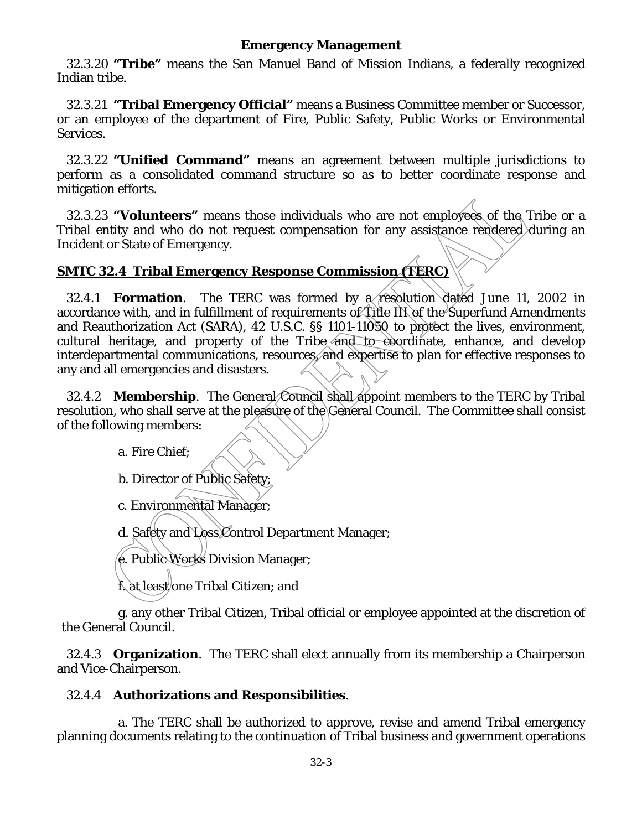32.3.20 **"Tribe"** means the San Manuel Band of Mission Indians, a federally recognized Indian tribe.

 32.3.21 **"Tribal Emergency Official"** means a Business Committee member or Successor, or an employee of the department of Fire, Public Safety, Public Works or Environmental Services.

 32.3.22 **"Unified Command"** means an agreement between multiple jurisdictions to perform as a consolidated command structure so as to better coordinate response and mitigation efforts.

 32.3.23 **"Volunteers"** means those individuals who are not employees of the Tribe or a Tribal entity and who do not request compensation for any assistance rendered during an Incident or State of Emergency.

## **SMTC 32.4 Tribal Emergency Response Commission (TERC)**

 32.4.1 **Formation**. The TERC was formed by a resolution dated June 11, 2002 in accordance with, and in fulfillment of requirements of Title III of the Superfund Amendments and Reauthorization Act (SARA), 42 U.S.C. §§ 1101-11050 to protect the lives, environment, cultural heritage, and property of the Tribe and to coordinate, enhance, and develop interdepartmental communications, resources, and expertise to plan for effective responses to any and all emergencies and disasters.

32.4.2 **Membership**. The General Council shall appoint members to the TERC by Tribal resolution, who shall serve at the pleasure of the General Council. The Committee shall consist of the following members:

a. Fire Chief;

b. Director of Public Safety;

c. Environmental Manager;

d. Safety and Loss Control Department Manager;

e. Public Works Division Manager;

f. at least one Tribal Citizen; and

g. any other Tribal Citizen, Tribal official or employee appointed at the discretion of the General Council.

 32.4.3 **Organization**. The TERC shall elect annually from its membership a Chairperson and Vice-Chairperson.

## 32.4.4 **Authorizations and Responsibilities**.

 a. The TERC shall be authorized to approve, revise and amend Tribal emergency planning documents relating to the continuation of Tribal business and government operations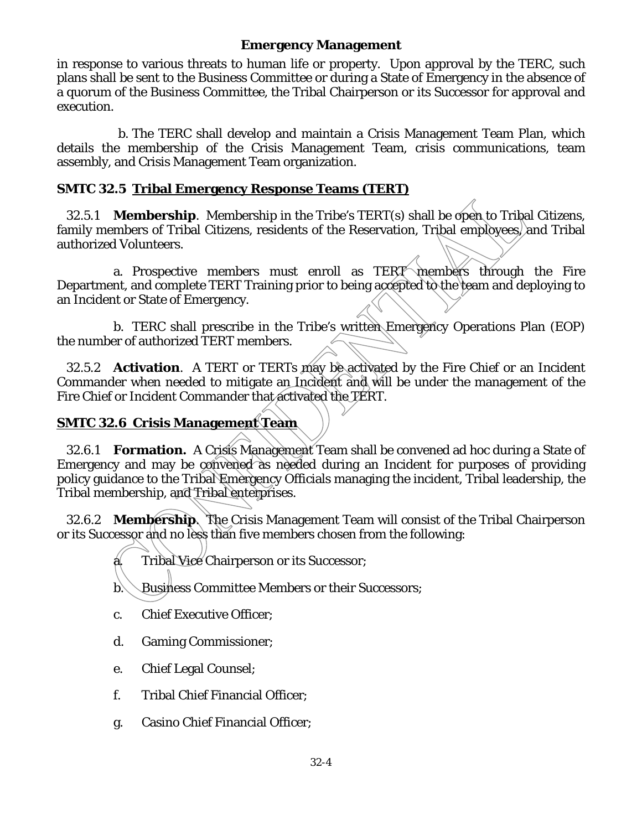in response to various threats to human life or property. Upon approval by the TERC, such plans shall be sent to the Business Committee or during a State of Emergency in the absence of a quorum of the Business Committee, the Tribal Chairperson or its Successor for approval and execution.

 b. The TERC shall develop and maintain a Crisis Management Team Plan, which details the membership of the Crisis Management Team, crisis communications, team assembly, and Crisis Management Team organization.

## **SMTC 32.5 Tribal Emergency Response Teams (TERT)**

 32.5.1 **Membership**. Membership in the Tribe's TERT(s) shall be open to Tribal Citizens, family members of Tribal Citizens, residents of the Reservation, Tribal employees, and Tribal authorized Volunteers.

a. Prospective members must enroll as TERT members through the Fire Department, and complete TERT Training prior to being accepted to the team and deploying to an Incident or State of Emergency.

b. TERC shall prescribe in the Tribe's written Emergency Operations Plan (EOP) the number of authorized TERT members.

32.5.2 **Activation**. A TERT or TERTs may be activated by the Fire Chief or an Incident Commander when needed to mitigate an Incident and will be under the management of the Fire Chief or Incident Commander that activated the TERT.

## **SMTC 32.6 Crisis Management Team**

 32.6.1 **Formation.** A Crisis Management Team shall be convened ad hoc during a State of Emergency and may be convened as needed during an Incident for purposes of providing policy guidance to the Tribal Emergency Officials managing the incident, Tribal leadership, the Tribal membership, and Tribal enterprises.

 32.6.2 **Membership**. The Crisis Management Team will consist of the Tribal Chairperson or its Successor and no less than five members chosen from the following:

a. Tribal Vice Chairperson or its Successor;

b. Business Committee Members or their Successors;

- c. Chief Executive Officer;
- d. Gaming Commissioner;
- e. Chief Legal Counsel;
- f. Tribal Chief Financial Officer;
- g. Casino Chief Financial Officer;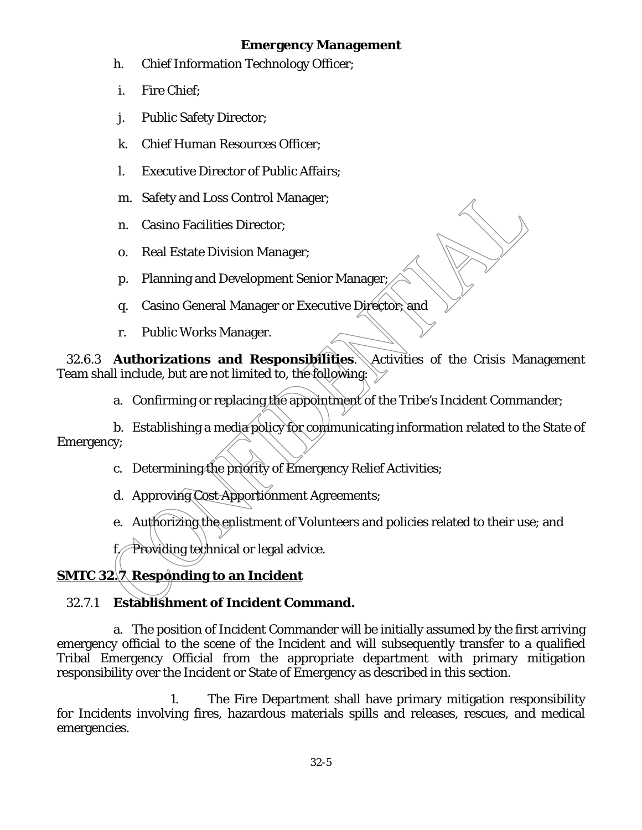- h. Chief Information Technology Officer;
- i. Fire Chief;
- j. Public Safety Director;
- k. Chief Human Resources Officer;
- l. Executive Director of Public Affairs;
- m. Safety and Loss Control Manager;
- n. Casino Facilities Director;
- o. Real Estate Division Manager;
- p. Planning and Development Senior Manager;
- q. Casino General Manager or Executive Director; and
- r. Public Works Manager.

 32.6.3 **Authorizations and Responsibilities**. Activities of the Crisis Management Team shall include, but are not limited to, the following:

a. Confirming or replacing the appointment of the Tribe's Incident Commander;

b. Establishing a media policy for communicating information related to the State of Emergency;

- c. Determining the priority of Emergency Relief Activities;
- d. Approving Cost Apportionment Agreements;
- e. Authorizing the enlistment of Volunteers and policies related to their use; and

f. Providing technical or legal advice.

# **SMTC 32.7 Responding to an Incident**

# 32.7.1 **Establishment of Incident Command.**

 a. The position of Incident Commander will be initially assumed by the first arriving emergency official to the scene of the Incident and will subsequently transfer to a qualified Tribal Emergency Official from the appropriate department with primary mitigation responsibility over the Incident or State of Emergency as described in this section.

1. The Fire Department shall have primary mitigation responsibility for Incidents involving fires, hazardous materials spills and releases, rescues, and medical emergencies.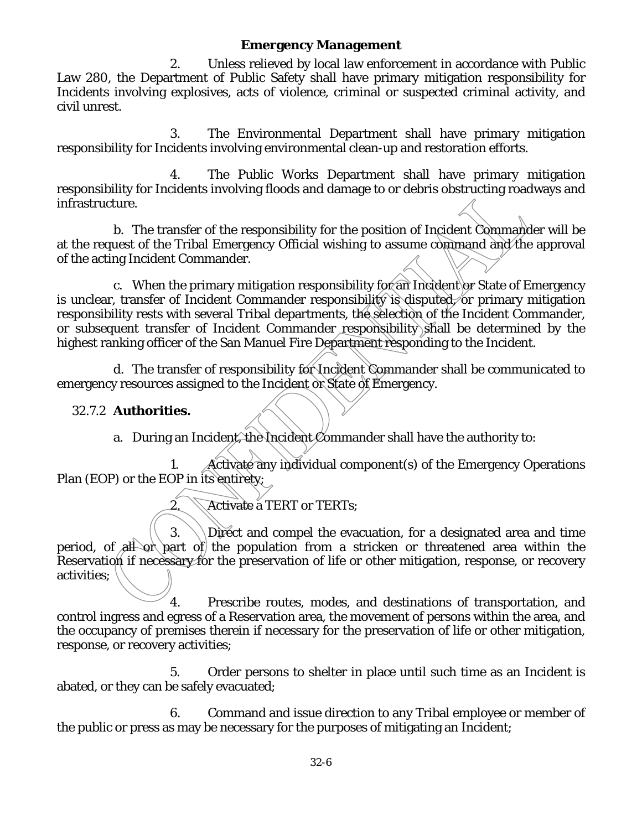2. Unless relieved by local law enforcement in accordance with Public Law 280, the Department of Public Safety shall have primary mitigation responsibility for Incidents involving explosives, acts of violence, criminal or suspected criminal activity, and civil unrest.

3. The Environmental Department shall have primary mitigation responsibility for Incidents involving environmental clean-up and restoration efforts.

4. The Public Works Department shall have primary mitigation responsibility for Incidents involving floods and damage to or debris obstructing roadways and infrastructure.

 b. The transfer of the responsibility for the position of Incident Commander will be at the request of the Tribal Emergency Official wishing to assume command and the approval of the acting Incident Commander.

c. When the primary mitigation responsibility for an Incident or State of Emergency is unclear, transfer of Incident Commander responsibility is disputed, or primary mitigation responsibility rests with several Tribal departments, the selection of the Incident Commander, or subsequent transfer of Incident Commander responsibility shall be determined by the highest ranking officer of the San Manuel Fire Department responding to the Incident.

 d. The transfer of responsibility for Incident Commander shall be communicated to emergency resources assigned to the Incident or State of Emergency.

## 32.7.2 **Authorities.**

a. During an Incident, the Incident Commander shall have the authority to:

1. Activate any individual component(s) of the Emergency Operations Plan (EOP) or the EOP in its entirety;

2. Activate a TERT or TERTs;

3.  $\Box$  Direct and compel the evacuation, for a designated area and time period, of all or part of the population from a stricken or threatened area within the Reservation if necessary for the preservation of life or other mitigation, response, or recovery activities;

4. Prescribe routes, modes, and destinations of transportation, and control ingress and egress of a Reservation area, the movement of persons within the area, and the occupancy of premises therein if necessary for the preservation of life or other mitigation, response, or recovery activities;

5. Order persons to shelter in place until such time as an Incident is abated, or they can be safely evacuated;

6. Command and issue direction to any Tribal employee or member of the public or press as may be necessary for the purposes of mitigating an Incident;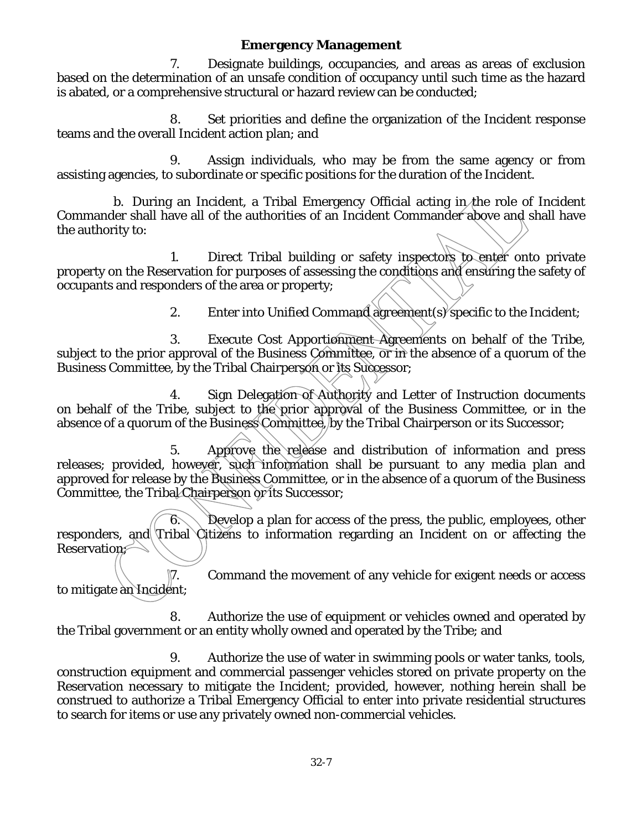7. Designate buildings, occupancies, and areas as areas of exclusion based on the determination of an unsafe condition of occupancy until such time as the hazard is abated, or a comprehensive structural or hazard review can be conducted;

8. Set priorities and define the organization of the Incident response teams and the overall Incident action plan; and

9. Assign individuals, who may be from the same agency or from assisting agencies, to subordinate or specific positions for the duration of the Incident.

b. During an Incident, a Tribal Emergency Official acting in the role of Incident Commander shall have all of the authorities of an Incident Commander above and shall have the authority to:

1. Direct Tribal building or safety inspectors to enter onto private property on the Reservation for purposes of assessing the conditions and ensuring the safety of occupants and responders of the area or property;

2. Enter into Unified Command agreement(s) specific to the Incident;

3. Execute Cost Apportionment Agreements on behalf of the Tribe, subject to the prior approval of the Business Committee, or in the absence of a quorum of the Business Committee, by the Tribal Chairperson or its Successor;

4. Sign Delegation of Authority and Letter of Instruction documents on behalf of the Tribe, subject to the prior approval of the Business Committee, or in the absence of a quorum of the Business Committee, by the Tribal Chairperson or its Successor;

5. Approve the release and distribution of information and press releases; provided, however, such information shall be pursuant to any media plan and approved for release by the Business Committee, or in the absence of a quorum of the Business Committee, the Tribal Chairperson or its Successor;

 $6.$  Develop a plan for access of the press, the public, employees, other responders, and Tribal Citizens to information regarding an Incident on or affecting the Reservation;

7. Command the movement of any vehicle for exigent needs or access to mitigate an Incident;

8. Authorize the use of equipment or vehicles owned and operated by the Tribal government or an entity wholly owned and operated by the Tribe; and

9. Authorize the use of water in swimming pools or water tanks, tools, construction equipment and commercial passenger vehicles stored on private property on the Reservation necessary to mitigate the Incident; provided, however, nothing herein shall be construed to authorize a Tribal Emergency Official to enter into private residential structures to search for items or use any privately owned non-commercial vehicles.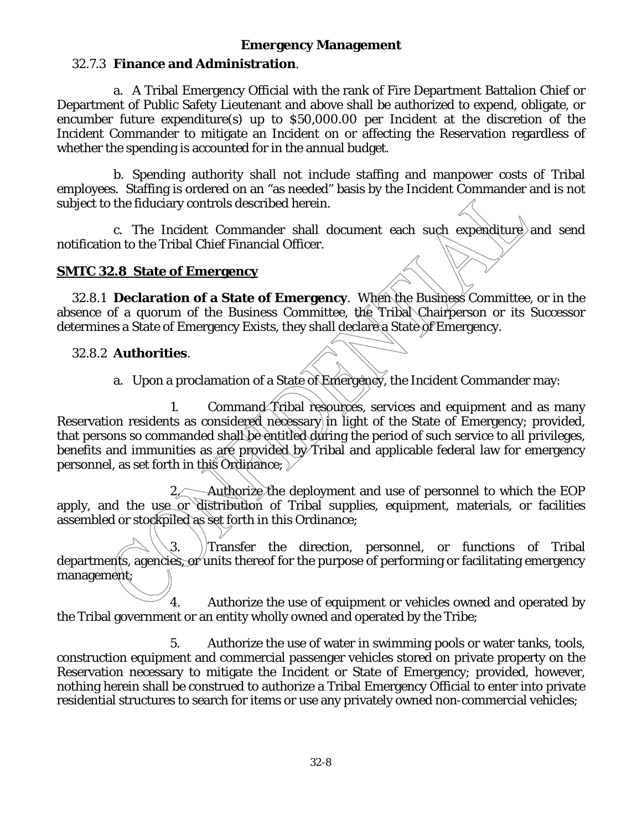## 32.7.3 **Finance and Administration**.

a. A Tribal Emergency Official with the rank of Fire Department Battalion Chief or Department of Public Safety Lieutenant and above shall be authorized to expend, obligate, or encumber future expenditure(s) up to \$50,000.00 per Incident at the discretion of the Incident Commander to mitigate an Incident on or affecting the Reservation regardless of whether the spending is accounted for in the annual budget.

b. Spending authority shall not include staffing and manpower costs of Tribal employees. Staffing is ordered on an "as needed" basis by the Incident Commander and is not subject to the fiduciary controls described herein.

c. The Incident Commander shall document each such expenditure and send notification to the Tribal Chief Financial Officer.

#### **SMTC 32.8 State of Emergency**

32.8.1 **Declaration of a State of Emergency**. When the Business Committee, or in the absence of a quorum of the Business Committee, the Tribal Chairperson or its Successor determines a State of Emergency Exists, they shall declare a State of Emergency.

#### 32.8.2 **Authorities**.

a. Upon a proclamation of a State of Emergeney, the Incident Commander may:

1. Command Tribal resources, services and equipment and as many Reservation residents as considered necessary in light of the State of Emergency; provided, that persons so commanded shall be entitled during the period of such service to all privileges, benefits and immunities as are provided by Tribal and applicable federal law for emergency personnel, as set forth in this Ordinance;

2. Authorize the deployment and use of personnel to which the EOP apply, and the use or distribution of Tribal supplies, equipment, materials, or facilities assembled or stockpiled as set forth in this Ordinance;

3. Transfer the direction, personnel, or functions of Tribal departments, agencies, or units thereof for the purpose of performing or facilitating emergency management;

4. Authorize the use of equipment or vehicles owned and operated by the Tribal government or an entity wholly owned and operated by the Tribe;

5. Authorize the use of water in swimming pools or water tanks, tools, construction equipment and commercial passenger vehicles stored on private property on the Reservation necessary to mitigate the Incident or State of Emergency; provided, however, nothing herein shall be construed to authorize a Tribal Emergency Official to enter into private residential structures to search for items or use any privately owned non-commercial vehicles;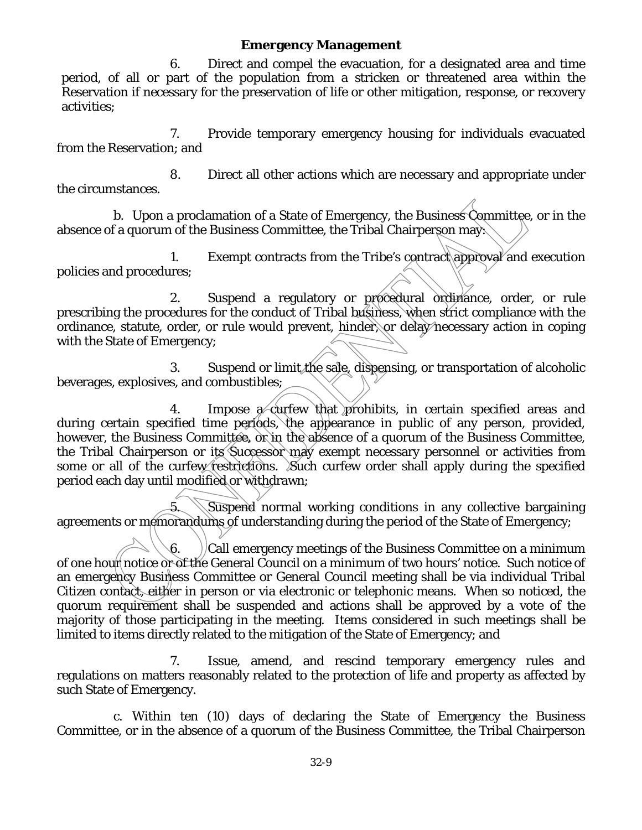6. Direct and compel the evacuation, for a designated area and time period, of all or part of the population from a stricken or threatened area within the Reservation if necessary for the preservation of life or other mitigation, response, or recovery activities;

7. Provide temporary emergency housing for individuals evacuated from the Reservation; and

8. Direct all other actions which are necessary and appropriate under the circumstances.

b. Upon a proclamation of a State of Emergency, the Business Committee, or in the absence of a quorum of the Business Committee, the Tribal Chairperson may:

1. Exempt contracts from the Tribe's contract approval and execution policies and procedures;

2. Suspend a regulatory or procedural ordinance, order, or rule prescribing the procedures for the conduct of Tribal business, when strict compliance with the ordinance, statute, order, or rule would prevent, hinder, or delay necessary action in coping with the State of Emergency;

3. Suspend or limit the sale, dispensing, or transportation of alcoholic beverages, explosives, and combustibles;

4. Impose a curfew that prohibits, in certain specified areas and during certain specified time periods, the appearance in public of any person, provided, however, the Business Committee, or in the absence of a quorum of the Business Committee, the Tribal Chairperson or its Successor may exempt necessary personnel or activities from some or all of the curfew restrictions. Such curfew order shall apply during the specified period each day until modified or withdrawn;

5. Suspend normal working conditions in any collective bargaining agreements or memorandums of understanding during the period of the State of Emergency;

6.  $\bigcup$  Call emergency meetings of the Business Committee on a minimum of one hour notice or of the General Council on a minimum of two hours' notice. Such notice of an emergency Business Committee or General Council meeting shall be via individual Tribal Citizen contact, either in person or via electronic or telephonic means. When so noticed, the quorum requirement shall be suspended and actions shall be approved by a vote of the majority of those participating in the meeting. Items considered in such meetings shall be limited to items directly related to the mitigation of the State of Emergency; and

7. Issue, amend, and rescind temporary emergency rules and regulations on matters reasonably related to the protection of life and property as affected by such State of Emergency.

c. Within ten (10) days of declaring the State of Emergency the Business Committee, or in the absence of a quorum of the Business Committee, the Tribal Chairperson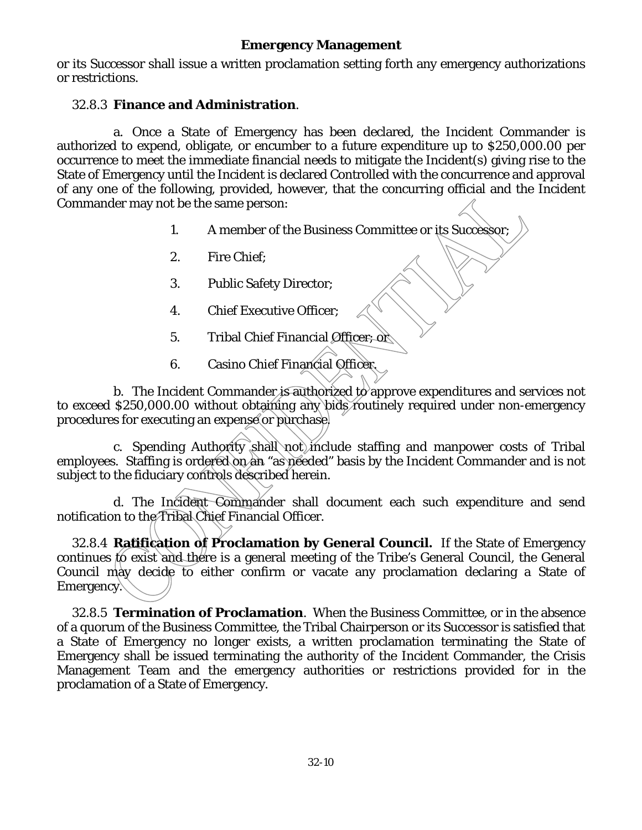or its Successor shall issue a written proclamation setting forth any emergency authorizations or restrictions.

#### 32.8.3 **Finance and Administration**.

a. Once a State of Emergency has been declared, the Incident Commander is authorized to expend, obligate, or encumber to a future expenditure up to \$250,000.00 per occurrence to meet the immediate financial needs to mitigate the Incident(s) giving rise to the State of Emergency until the Incident is declared Controlled with the concurrence and approval of any one of the following, provided, however, that the concurring official and the Incident Commander may not be the same person:

- 1. A member of the Business Committee or its Successor;
- 2. Fire Chief;
- 3. Public Safety Director;
- 4. Chief Executive Officer;
- 5. Tribal Chief Financial Officer; or
- 6. Casino Chief Financial Officer.

b. The Incident Commander is authorized to approve expenditures and services not to exceed \$250,000.00 without obtaining any bids routinely required under non-emergency procedures for executing an expense or purchase.

c. Spending Authority shall not include staffing and manpower costs of Tribal employees. Staffing is ordered on an "as needed" basis by the Incident Commander and is not subject to the fiduciary controls described herein.

d. The Incident Commander shall document each such expenditure and send notification to the Tribal Chief Financial Officer.

32.8.4 **Ratification of Proclamation by General Council.** If the State of Emergency continues to exist and there is a general meeting of the Tribe's General Council, the General Council may decide to either confirm or vacate any proclamation declaring a State of Emergency.

32.8.5 **Termination of Proclamation**. When the Business Committee, or in the absence of a quorum of the Business Committee, the Tribal Chairperson or its Successor is satisfied that a State of Emergency no longer exists, a written proclamation terminating the State of Emergency shall be issued terminating the authority of the Incident Commander, the Crisis Management Team and the emergency authorities or restrictions provided for in the proclamation of a State of Emergency.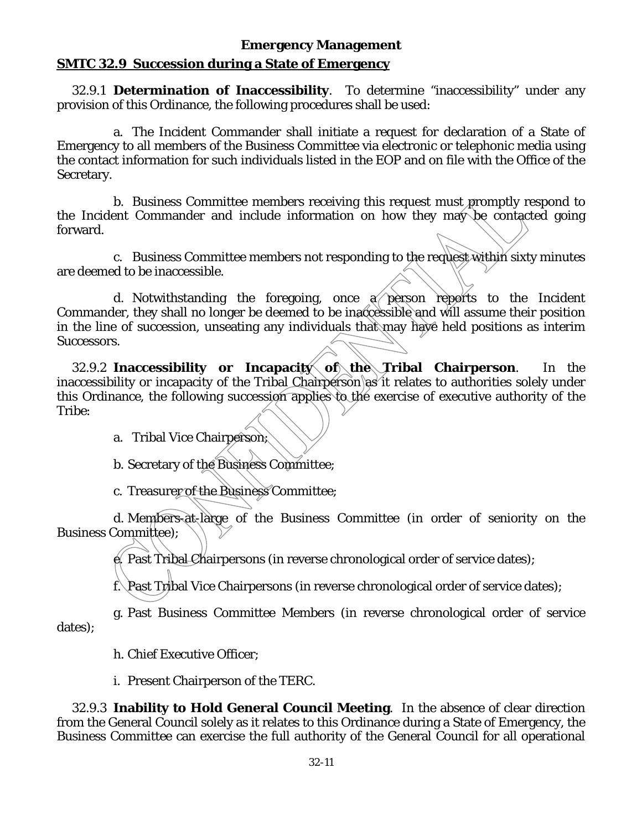## **SMTC 32.9 Succession during a State of Emergency**

32.9.1 **Determination of Inaccessibility**. To determine "inaccessibility" under any provision of this Ordinance, the following procedures shall be used:

a. The Incident Commander shall initiate a request for declaration of a State of Emergency to all members of the Business Committee via electronic or telephonic media using the contact information for such individuals listed in the EOP and on file with the Office of the Secretary.

b. Business Committee members receiving this request must promptly respond to the Incident Commander and include information on how they may be contacted going forward.

c. Business Committee members not responding to the request within sixty minutes are deemed to be inaccessible.

d. Notwithstanding the foregoing, once  $\alpha$  person reports to the Incident Commander, they shall no longer be deemed to be inaccessible and will assume their position in the line of succession, unseating any individuals that may have held positions as interim Successors.

32.9.2 **Inaccessibility or Incapacity of the Tribal Chairperson**. In the inaccessibility or incapacity of the Tribal Chairperson as it relates to authorities solely under this Ordinance, the following succession applies to the exercise of executive authority of the Tribe:

a. Tribal Vice Chairperson;

b. Secretary of the Business Committee;

c. Treasurer of the Business Committee;

d. Members-at-large of the Business Committee (in order of seniority on the Business Committee);

Past Tribal Chairpersons (in reverse chronological order of service dates);

f. Past Tribal Vice Chairpersons (in reverse chronological order of service dates);

g. Past Business Committee Members (in reverse chronological order of service dates);

h. Chief Executive Officer;

i. Present Chairperson of the TERC.

32.9.3 **Inability to Hold General Council Meeting**. In the absence of clear direction from the General Council solely as it relates to this Ordinance during a State of Emergency, the Business Committee can exercise the full authority of the General Council for all operational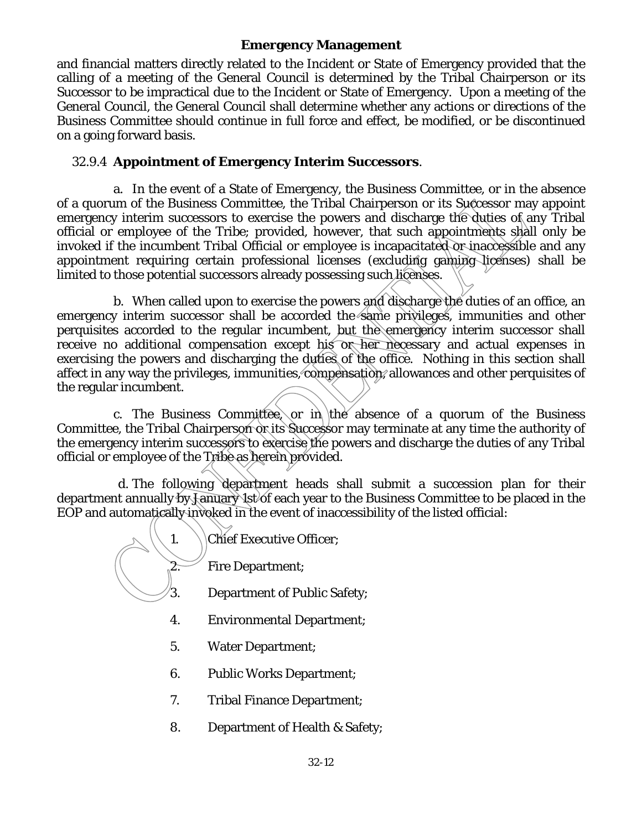and financial matters directly related to the Incident or State of Emergency provided that the calling of a meeting of the General Council is determined by the Tribal Chairperson or its Successor to be impractical due to the Incident or State of Emergency. Upon a meeting of the General Council, the General Council shall determine whether any actions or directions of the Business Committee should continue in full force and effect, be modified, or be discontinued on a going forward basis.

## 32.9.4 **Appointment of Emergency Interim Successors**.

a. In the event of a State of Emergency, the Business Committee, or in the absence of a quorum of the Business Committee, the Tribal Chairperson or its Successor may appoint emergency interim successors to exercise the powers and discharge the duties of any Tribal official or employee of the Tribe; provided, however, that such appointments shall only be invoked if the incumbent Tribal Official or employee is incapacitated or inaccessible and any appointment requiring certain professional licenses (excluding gaming licenses) shall be limited to those potential successors already possessing such licenses.

b. When called upon to exercise the powers and discharge the duties of an office, an emergency interim successor shall be accorded the same privileges, immunities and other perquisites accorded to the regular incumbent, but the emergency interim successor shall receive no additional compensation except his or her necessary and actual expenses in exercising the powers and discharging the duties of the office. Nothing in this section shall affect in any way the privileges, immunities, compensation, allowances and other perquisites of the regular incumbent.

c. The Business Committee, or in the absence of a quorum of the Business Committee, the Tribal Chairperson on its Successor may terminate at any time the authority of the emergency interim successors to exercise the powers and discharge the duties of any Tribal official or employee of the Tribe as herein provided.

d. The following department heads shall submit a succession plan for their department annually by January 1st of each year to the Business Committee to be placed in the EOP and automatically invoked in the event of inaccessibility of the listed official:

| Chief Executive Officer; |
|--------------------------|
| <b>Fire Department;</b>  |

- 3. Department of Public Safety;
- 4. Environmental Department;
- 5. Water Department;
- 6. Public Works Department;
- 7. Tribal Finance Department;
- 8. Department of Health & Safety;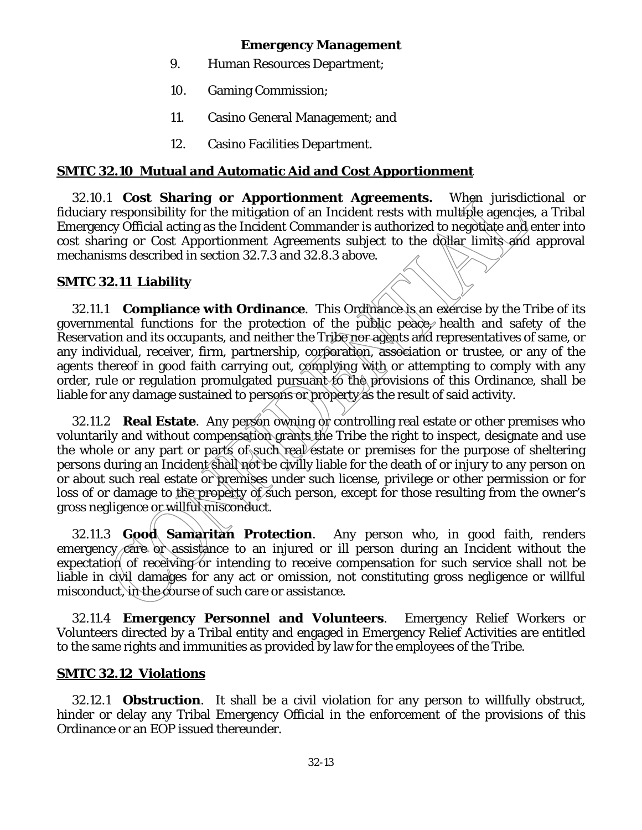- 9. Human Resources Department;
- 10. Gaming Commission;
- 11. Casino General Management; and
- 12. Casino Facilities Department.

#### **SMTC 32.10 Mutual and Automatic Aid and Cost Apportionment**

32.10.1 **Cost Sharing or Apportionment Agreements.** When jurisdictional or fiduciary responsibility for the mitigation of an Incident rests with multiple agencies, a Tribal Emergency Official acting as the Incident Commander is authorized to negotiate and enter into cost sharing or Cost Apportionment Agreements subject to the dollar limits and approval mechanisms described in section 32.7.3 and 32.8.3 above.

#### **SMTC 32.11 Liability**

32.11.1 **Compliance with Ordinance**. This Ordinance is an exercise by the Tribe of its governmental functions for the protection of the public peace, health and safety of the Reservation and its occupants, and neither the Tribe nor agents and representatives of same, or any individual, receiver, firm, partnership, corporation, association or trustee, or any of the agents thereof in good faith carrying out, complying with or attempting to comply with any order, rule or regulation promulgated pursuant to the provisions of this Ordinance, shall be liable for any damage sustained to persons or property as the result of said activity.

32.11.2 **Real Estate**. Any person owning or controlling real estate or other premises who voluntarily and without compensation grants the Tribe the right to inspect, designate and use the whole or any part or parts of such real estate or premises for the purpose of sheltering persons during an Incident shall not be civilly liable for the death of or injury to any person on or about such real estate or premises under such license, privilege or other permission or for loss of or damage to the property of such person, except for those resulting from the owner's gross negligence or willful misconduct.

32.11.3 **Good Samaritan Protection**. Any person who, in good faith, renders emergency care or assistance to an injured or ill person during an Incident without the expectation of receiving or intending to receive compensation for such service shall not be liable in civil damages for any act or omission, not constituting gross negligence or willful misconduct, in the course of such care or assistance.

32.11.4 **Emergency Personnel and Volunteers**. Emergency Relief Workers or Volunteers directed by a Tribal entity and engaged in Emergency Relief Activities are entitled to the same rights and immunities as provided by law for the employees of the Tribe.

#### **SMTC 32.12 Violations**

32.12.1 **Obstruction**. It shall be a civil violation for any person to willfully obstruct, hinder or delay any Tribal Emergency Official in the enforcement of the provisions of this Ordinance or an EOP issued thereunder.